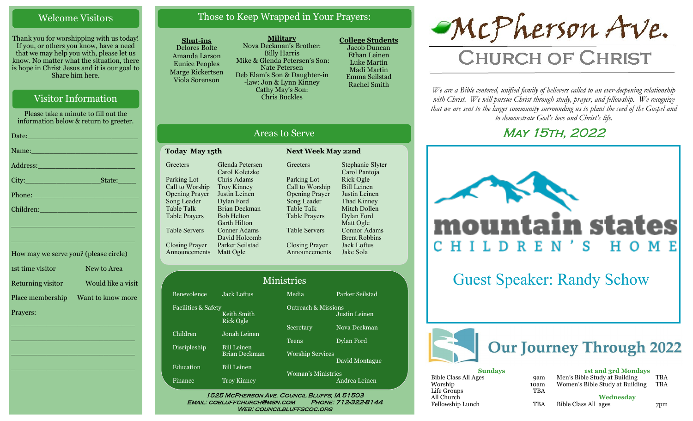#### Welcome Visitors

Thank you for worshipping with us today! If you, or others you know, have a need that we may help you with, please let us know. No matter what the situation, there is hope in Christ Jesus and it is our goal to Share him here.

#### Visitor Information

Please take a minute to fill out the information below & return to greeter.

| Date: <u>New York: New York: New York: New York: New York: New York: New York: New York: New York: New York: New York: New York: New York: New York: New York: New York: New York: New York: New York: New York: New York: New Y</u> |
|--------------------------------------------------------------------------------------------------------------------------------------------------------------------------------------------------------------------------------------|
| Name:                                                                                                                                                                                                                                |
| Address: No. 1998                                                                                                                                                                                                                    |
| State:                                                                                                                                                                                                                               |
| Phone:                                                                                                                                                                                                                               |
| Children: 2008 - 2008 - 2010 - 2010 - 2010 - 2010 - 2010 - 2010 - 2010 - 2010 - 2010 - 2010 - 2010 - 2010 - 20                                                                                                                       |
| <u> 1999 - Jan James James James James James James James James James James James James James James James James J</u>                                                                                                                 |
|                                                                                                                                                                                                                                      |
| How may we serve you? (please circle)                                                                                                                                                                                                |

| 1st time visitor  | New to Area        |
|-------------------|--------------------|
| Returning visitor | Would like a visit |
| Place membership  | Want to know more  |
| Prayers:          |                    |
|                   |                    |

 $\overline{\phantom{a}}$  , and the set of the set of the set of the set of the set of the set of the set of the set of the set of the set of the set of the set of the set of the set of the set of the set of the set of the set of the s

 $\overline{\phantom{a}}$  , and the set of the set of the set of the set of the set of the set of the set of the set of the set of the set of the set of the set of the set of the set of the set of the set of the set of the set of the s

\_\_\_\_\_\_\_\_\_\_\_\_\_\_\_\_\_\_\_\_\_\_\_\_\_\_\_\_

# Those to Keep Wrapped in Your Prayers:

#### **Shut-ins**

Delores Bolte Amanda Larson Eunice Peoples Marge Rickertsen Viola Sorenson

**Military** Nova Deckman's Brother: Billy Harris Mike & Glenda Petersen's Son: Nate Petersen Deb Elam's Son & Daughter-in -law: Jon & Lynn Kinney Cathy May's Son: Chris Buckles

Areas to Serve

**Greeters** 

Parking Lot Call to Worship Opening Prayer Song Leader Table Talk Table Prayers

Table Servers

Closing Prayer Announcements

**Today May 15th Next Week May 22nd** 

Glenda Petersen Carol Koletzke Chris Adams Troy Kinney Justin Leinen Dylan Ford Brian Deckman Bob Helton Garth Hilton Conner Adams David Holcomb Parker Seilstad

**College Students**  Jacob Duncan Ethan Leinen Luke Martin Madi Martin Emma Seilstad Rachel Smith

Stephanie Slyter Carol Pantoja Rick Ogle Bill Leinen Justin Leinen Thad Kinney Mitch Dollen Dylan Ford Matt Ogle Connor Adams Brent Robbins Jack Loftus Jake Sola

# McPherson Ave.

# **CHURCH OF CHRIST**

*We are a Bible centered, unified family of believers called to an ever-deepening relationship*  with Christ. We will pursue Christ through study, prayer, and fellowship. We recognize *that we are sent to the larger community surrounding us to plant the seed of the Gospel and to demonstrate God's love and Christ's life.*

# **MAY 15TH, 2022**



Guest Speaker: Randy Schow



| <b>Sundays</b>       |            | <b>1st and 3rd Mondays</b>      |     |  |
|----------------------|------------|---------------------------------|-----|--|
| Bible Class All Ages | <b>9am</b> | Men's Bible Study at Building   | TBA |  |
| Worship              | 10am       | Women's Bible Study at Building | TBA |  |
| Life Groups          | <b>TBA</b> |                                 |     |  |
| All Church           |            | Wednesdav                       |     |  |
| Fellowship Lunch     | <b>TBA</b> | Bible Class All ages            | 7pm |  |
|                      |            |                                 |     |  |

| $l$ ence                              | <b>Jack Loftus</b>                         |
|---------------------------------------|--------------------------------------------|
| es & Safety                           | Keith Smith<br><b>Rick Ogle</b>            |
| n                                     | Jonah Leinen                               |
| $\underline{\mathrm{s} \mathrm{hip}}$ | <b>Bill Leinen</b><br><b>Brian Deckman</b> |
| ion                                   | <b>Bill Leinen</b>                         |
| ë                                     | <b>Troy Kinney</b>                         |
|                                       |                                            |

Benevo Faciliti

Closing Prayer

Announcements Matt Ogle

**Greeters** 

Parking Lot Call to Worship Opening Prayer Song Leader Table Talk Table Prayers Table Servers

Childre

Discip<sup>1</sup>

Educat Finance

#### Media Parker Seilstad Ministries

Outreach & Missions Secretary Nova Deckman Teens Dylan Ford Worship Services

Woman's Ministries Andrea Leinen

Justin Leinen

David Montague

1525 McPherson Ave. Council Bluffs, IA 51503 Email: cobluffchurch@msn.com Phone: 712-322-8144 WEB: COUNCILBLUFFSCOC.ORG